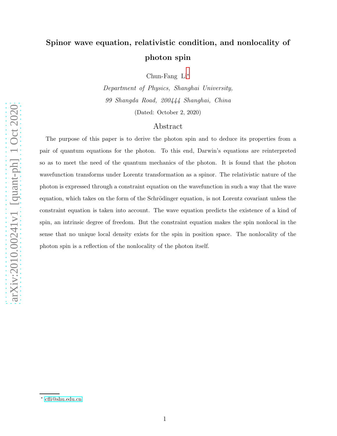# Spinor wave equation, relativistic condition, and nonlocality of photon spin

Chun-Fang Li[∗](#page-0-0)

Department of Physics, Shanghai University, 99 Shangda Road, 200444 Shanghai, China (Dated: October 2, 2020)

## Abstract

The purpose of this paper is to derive the photon spin and to deduce its properties from a pair of quantum equations for the photon. To this end, Darwin's equations are reinterpreted so as to meet the need of the quantum mechanics of the photon. It is found that the photon wavefunction transforms under Lorentz transformation as a spinor. The relativistic nature of the photon is expressed through a constraint equation on the wavefunction in such a way that the wave equation, which takes on the form of the Schrödinger equation, is not Lorentz covariant unless the constraint equation is taken into account. The wave equation predicts the existence of a kind of spin, an intrinsic degree of freedom. But the constraint equation makes the spin nonlocal in the sense that no unique local density exists for the spin in position space. The nonlocality of the photon spin is a reflection of the nonlocality of the photon itself.

<span id="page-0-0"></span><sup>∗</sup> [cfli@shu.edu.cn](mailto:cfli@shu.edu.cn)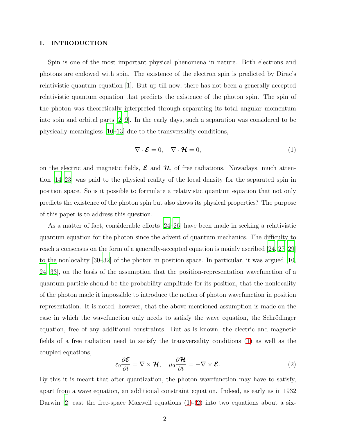#### I. INTRODUCTION

Spin is one of the most important physical phenomena in nature. Both electrons and photons are endowed with spin. The existence of the electron spin is predicted by Dirac's relativistic quantum equation [\[1](#page-16-0)]. But up till now, there has not been a generally-accepted relativistic quantum equation that predicts the existence of the photon spin. The spin of the photon was theoretically interpreted through separating its total angular momentum into spin and orbital parts [\[2](#page-17-0)[–9](#page-17-1)]. In the early days, such a separation was considered to be physically meaningless [\[10](#page-17-2)[–13](#page-17-3)] due to the transversality conditions,

<span id="page-1-0"></span>
$$
\nabla \cdot \boldsymbol{\mathcal{E}} = 0, \quad \nabla \cdot \boldsymbol{\mathcal{H}} = 0,
$$
\n(1)

on the electric and magnetic fields,  $\mathcal{E}$  and  $\mathcal{H}$ , of free radiations. Nowadays, much attention [\[14](#page-17-4)[–23](#page-17-5)] was paid to the physical reality of the local density for the separated spin in position space. So is it possible to formulate a relativistic quantum equation that not only predicts the existence of the photon spin but also shows its physical properties? The purpose of this paper is to address this question.

As a matter of fact, considerable efforts [\[24](#page-17-6)[–26](#page-17-7)] have been made in seeking a relativistic quantum equation for the photon since the advent of quantum mechanics. The difficulty to reach a consensus on the form of a generally-accepted equation is mainly ascribed [\[24](#page-17-6), [27](#page-17-8)[–29\]](#page-18-0) to the nonlocality [\[30](#page-18-1)[–32\]](#page-18-2) of the photon in position space. In particular, it was argued [\[10,](#page-17-2) [24,](#page-17-6) [33](#page-18-3)], on the basis of the assumption that the position-representation wavefunction of a quantum particle should be the probability amplitude for its position, that the nonlocality of the photon made it impossible to introduce the notion of photon wavefunction in position representation. It is noted, however, that the above-mentioned assumption is made on the case in which the wavefunction only needs to satisfy the wave equation, the Schrödinger equation, free of any additional constraints. But as is known, the electric and magnetic fields of a free radiation need to satisfy the transversality conditions [\(1\)](#page-1-0) as well as the coupled equations,

<span id="page-1-1"></span>
$$
\varepsilon_0 \frac{\partial \mathcal{E}}{\partial t} = \nabla \times \mathcal{H}, \quad \mu_0 \frac{\partial \mathcal{H}}{\partial t} = -\nabla \times \mathcal{E}.
$$
 (2)

By this it is meant that after quantization, the photon wavefunction may have to satisfy, apart from a wave equation, an additional constraint equation. Indeed, as early as in 1932 Darwin [\[2\]](#page-17-0) cast the free-space Maxwell equations  $(1)-(2)$  $(1)-(2)$  into two equations about a six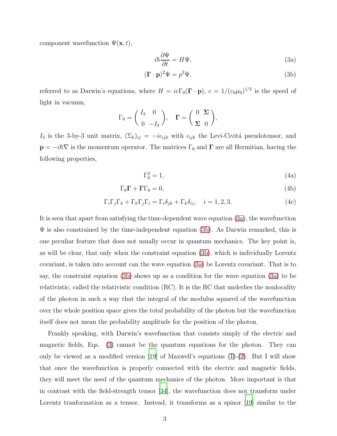component wavefunction  $\Psi(\mathbf{x},t)$ ,

<span id="page-2-2"></span><span id="page-2-1"></span><span id="page-2-0"></span>
$$
i\hbar \frac{\partial \Psi}{\partial t} = H\Psi,\tag{3a}
$$

$$
(\mathbf{\Gamma} \cdot \mathbf{p})^2 \Psi = p^2 \Psi,
$$
 (3b)

referred to as Darwin's equations, where  $H = ic\Gamma_0(\mathbf{\Gamma} \cdot \mathbf{p})$ ,  $c = 1/(\varepsilon_0\mu_0)^{1/2}$  is the speed of light in vacuum,

$$
\Gamma_0 = \begin{pmatrix} I_3 & 0 \\ 0 & -I_3 \end{pmatrix}, \quad \Gamma = \begin{pmatrix} 0 & \Sigma \\ \Sigma & 0 \end{pmatrix},
$$

I<sub>3</sub> is the 3-by-3 unit matrix,  $(\Sigma_k)_{ij} = -i\epsilon_{ijk}$  with  $\epsilon_{ijk}$  the Levi-Civitá pseudotensor, and  $\mathbf{p} = -i\hbar \nabla$  is the momentum operator. The matrices  $\Gamma_0$  and  $\Gamma$  are all Hermitian, having the following properties,

<span id="page-2-5"></span><span id="page-2-4"></span><span id="page-2-3"></span>
$$
\Gamma_0^2 = 1,\tag{4a}
$$

$$
\Gamma_0 \Gamma + \Gamma \Gamma_0 = 0,\tag{4b}
$$

$$
\Gamma_i \Gamma_j \Gamma_k + \Gamma_k \Gamma_j \Gamma_i = \Gamma_i \delta_{jk} + \Gamma_k \delta_{ij}, \quad i = 1, 2, 3.
$$
 (4c)

It is seen that apart from satisfying the time-dependent wave equation [\(3a\)](#page-2-0), the wavefunction  $\Psi$  is also constrained by the time-independent equation [\(3b\)](#page-2-1). As Darwin remarked, this is one peculiar feature that does not usually occur in quantum mechanics. The key point is, as will be clear, that only when the constraint equation [\(3b\)](#page-2-1), which is individually Lorentz covariant, is taken into account can the wave equation [\(3a\)](#page-2-0) be Lorentz covariant. That is to say, the constraint equation [\(3b\)](#page-2-1) shows up as a condition for the wave equation [\(3a\)](#page-2-0) to be relativistic, called the relativistic condition (RC). It is the RC that underlies the nonlocality of the photon in such a way that the integral of the modulus squared of the wavefunction over the whole position space gives the total probability of the photon but the wavefunction itself does not mean the probability amplitude for the position of the photon.

Frankly speaking, with Darwin's wavefunction that consists simply of the electric and magnetic fields, Eqs. [\(3\)](#page-2-2) cannot be the quantum equations for the photon. They can only be viewed as a modified version [\[19](#page-17-9)] of Maxwell's equations  $(1)-(2)$  $(1)-(2)$ . But I will show that once the wavefunction is properly connected with the electric and magnetic fields, they will meet the need of the quantum mechanics of the photon. More important is that in contrast with the field-strength tensor [\[34](#page-18-4)], the wavefunction does not transform under Lorentz tranformation as a tensor. Instead, it transforms as a spinor [\[19\]](#page-17-9) similar to the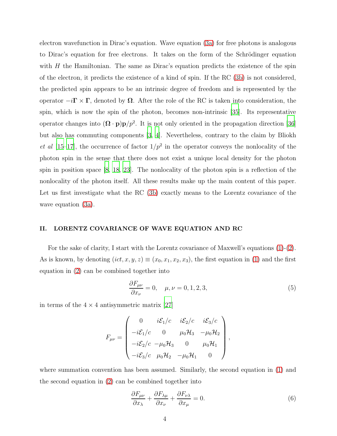electron wavefunction in Dirac's equation. Wave equation [\(3a\)](#page-2-0) for free photons is analogous to Dirac's equation for free electrons. It takes on the form of the Schrödinger equation with  $H$  the Hamiltonian. The same as Dirac's equation predicts the existence of the spin of the electron, it predicts the existence of a kind of spin. If the RC [\(3b\)](#page-2-1) is not considered, the predicted spin appears to be an intrinsic degree of freedom and is represented by the operator  $-i\Gamma \times \Gamma$ , denoted by  $\Omega$ . After the role of the RC is taken into consideration, the spin, which is now the spin of the photon, becomes non-intrinsic [\[35\]](#page-18-5). Its representative operator changes into  $(\mathbf{\Omega} \cdot \mathbf{p})\mathbf{p}/p^2$ . It is not only oriented in the propagation direction [\[36\]](#page-18-6) but also has commuting components [\[3](#page-17-10), [4\]](#page-17-11). Nevertheless, contrary to the claim by Bliokh et al [\[15](#page-17-12)[–17](#page-17-13)], the occurrence of factor  $1/p^2$  in the operator conveys the nonlocality of the photon spin in the sense that there does not exist a unique local density for the photon spin in position space [\[8](#page-17-14), [18,](#page-17-15) [23](#page-17-5)]. The nonlocality of the photon spin is a reflection of the nonlocality of the photon itself. All these results make up the main content of this paper. Let us first investigate what the RC [\(3b\)](#page-2-1) exactly means to the Lorentz covariance of the wave equation [\(3a\)](#page-2-0).

#### <span id="page-3-2"></span>II. LORENTZ COVARIANCE OF WAVE EQUATION AND RC

For the sake of clarity, I start with the Lorentz covariance of Maxwell's equations [\(1\)](#page-1-0)-[\(2\)](#page-1-1). As is known, by denoting  $(ict, x, y, z) \equiv (x_0, x_1, x_2, x_3)$ , the first equation in [\(1\)](#page-1-0) and the first equation in [\(2\)](#page-1-1) can be combined together into

<span id="page-3-0"></span>
$$
\frac{\partial F_{\mu\nu}}{\partial x_{\nu}} = 0, \quad \mu, \nu = 0, 1, 2, 3,
$$
\n<sup>(5)</sup>

in terms of the  $4 \times 4$  antisymmetric matrix [\[27\]](#page-17-8)

$$
F_{\mu\nu} = \begin{pmatrix} 0 & i\mathcal{E}_1/c & i\mathcal{E}_2/c & i\mathcal{E}_3/c \\ -i\mathcal{E}_1/c & 0 & \mu_0\mathcal{H}_3 & -\mu_0\mathcal{H}_2 \\ -i\mathcal{E}_2/c & -\mu_0\mathcal{H}_3 & 0 & \mu_0\mathcal{H}_1 \\ -i\mathcal{E}_3/c & \mu_0\mathcal{H}_2 & -\mu_0\mathcal{H}_1 & 0 \end{pmatrix},
$$

where summation convention has been assumed. Similarly, the second equation in [\(1\)](#page-1-0) and the second equation in [\(2\)](#page-1-1) can be combined together into

<span id="page-3-1"></span>
$$
\frac{\partial F_{\mu\nu}}{\partial x_{\lambda}} + \frac{\partial F_{\lambda\mu}}{\partial x_{\nu}} + \frac{\partial F_{\nu\lambda}}{\partial x_{\mu}} = 0.
$$
 (6)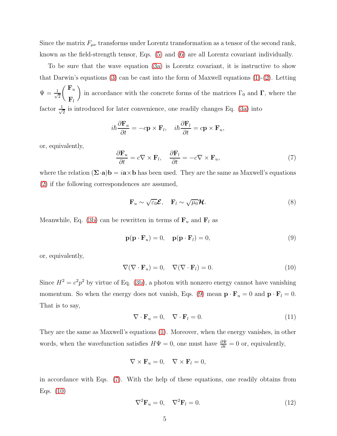Since the matrix  $F_{\mu\nu}$  transforms under Lorentz transformation as a tensor of the second rank, known as the field-strength tensor, Eqs. [\(5\)](#page-3-0) and [\(6\)](#page-3-1) are all Lorentz covariant individually.

To be sure that the wave equation [\(3a\)](#page-2-0) is Lorentz covariant, it is instructive to show that Darwin's equations [\(3\)](#page-2-2) can be cast into the form of Maxwell equations  $(1)-(2)$  $(1)-(2)$ . Letting  $\Psi = \frac{1}{\sqrt{2}}$ 2  $\int \mathbf{F}_u$  $\mathbf{F}_l$ in accordance with the concrete forms of the matrices  $\Gamma_0$  and  $\Gamma$ , where the factor  $\frac{1}{\sqrt{2}}$  $\frac{1}{2}$  is introduced for later convenience, one readily changes Eq. [\(3a\)](#page-2-0) into

$$
i\hbar \frac{\partial \mathbf{F}_u}{\partial t} = -c\mathbf{p} \times \mathbf{F}_l, \quad i\hbar \frac{\partial \mathbf{F}_l}{\partial t} = c\mathbf{p} \times \mathbf{F}_u,
$$

or, equivalently,

<span id="page-4-1"></span>
$$
\frac{\partial \mathbf{F}_u}{\partial t} = c \nabla \times \mathbf{F}_l, \quad \frac{\partial \mathbf{F}_l}{\partial t} = -c \nabla \times \mathbf{F}_u,\tag{7}
$$

where the relation  $(\Sigma \cdot \mathbf{a})\mathbf{b} = i\mathbf{a} \times \mathbf{b}$  has been used. They are the same as Maxwell's equations [\(2\)](#page-1-1) if the following correspondences are assumed,

<span id="page-4-5"></span>
$$
\mathbf{F}_u \sim \sqrt{\varepsilon_0} \mathbf{\mathcal{E}}, \quad \mathbf{F}_l \sim \sqrt{\mu_0} \mathbf{\mathcal{H}}.
$$
 (8)

Meanwhile, Eq. [\(3b\)](#page-2-1) can be rewritten in terms of  $\mathbf{F}_u$  and  $\mathbf{F}_l$  as

<span id="page-4-0"></span>
$$
\mathbf{p}(\mathbf{p} \cdot \mathbf{F}_u) = 0, \quad \mathbf{p}(\mathbf{p} \cdot \mathbf{F}_l) = 0,
$$
\n(9)

or, equivalently,

<span id="page-4-2"></span>
$$
\nabla(\nabla \cdot \mathbf{F}_u) = 0, \quad \nabla(\nabla \cdot \mathbf{F}_l) = 0.
$$
\n(10)

Since  $H^2 = c^2 p^2$  by virtue of Eq. [\(3b\)](#page-2-1), a photon with nonzero energy cannot have vanishing momentum. So when the energy does not vanish, Eqs. [\(9\)](#page-4-0) mean  $\mathbf{p} \cdot \mathbf{F}_u = 0$  and  $\mathbf{p} \cdot \mathbf{F}_l = 0$ . That is to say,

<span id="page-4-4"></span>
$$
\nabla \cdot \mathbf{F}_u = 0, \quad \nabla \cdot \mathbf{F}_l = 0. \tag{11}
$$

They are the same as Maxwell's equations [\(1\)](#page-1-0). Moreover, when the energy vanishes, in other words, when the wavefunction satisfies  $H\Psi = 0$ , one must have  $\frac{\partial \Psi}{\partial t} = 0$  or, equivalently,

$$
\nabla \times \mathbf{F}_u = 0, \quad \nabla \times \mathbf{F}_l = 0,
$$

in accordance with Eqs. [\(7\)](#page-4-1). With the help of these equations, one readily obtains from Eqs. [\(10\)](#page-4-2)

<span id="page-4-3"></span>
$$
\nabla^2 \mathbf{F}_u = 0, \quad \nabla^2 \mathbf{F}_l = 0. \tag{12}
$$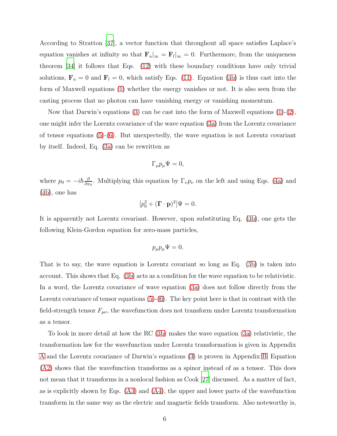According to Stratton [\[37\]](#page-18-7), a vector function that throughout all space satisfies Laplace's equation vanishes at infinity so that  $\mathbf{F}_u|_{\infty} = \mathbf{F}_l|_{\infty} = 0$ . Furthermore, from the uniqueness theorem [\[34\]](#page-18-4) it follows that Eqs. [\(12\)](#page-4-3) with these boundary conditions have only trivial solutions,  $\mathbf{F}_u = 0$  and  $\mathbf{F}_l = 0$ , which satisfy Eqs. [\(11\)](#page-4-4). Equation [\(3b\)](#page-2-1) is thus cast into the form of Maxwell equations [\(1\)](#page-1-0) whether the energy vanishes or not. It is also seen from the casting process that no photon can have vanishing energy or vanishing momentum.

Now that Darwin's equations [\(3\)](#page-2-2) can be cast into the form of Maxwell equations [\(1\)](#page-1-0)-[\(2\)](#page-1-1), one might infer the Lorentz covariance of the wave equation [\(3a\)](#page-2-0) from the Lorentz covariance of tensor equations [\(5\)](#page-3-0)-[\(6\)](#page-3-1). But unexpectedly, the wave equation is not Lorentz covariant by itself. Indeed, Eq. [\(3a\)](#page-2-0) can be rewritten as

$$
\Gamma_{\mu}p_{\mu}\Psi=0,
$$

where  $p_0 = -i\hbar \frac{\partial}{\partial x}$  $\frac{\partial}{\partial x_0}$ . Multiplying this equation by  $\Gamma_{\nu}p_{\nu}$  on the left and using Eqs. [\(4a\)](#page-2-3) and [\(4b\)](#page-2-4), one has

$$
[p_0^2 + (\mathbf{\Gamma} \cdot \mathbf{p})^2] \Psi = 0.
$$

It is apparently not Lorentz covariant. However, upon substituting Eq. [\(3b\)](#page-2-1), one gets the following Klein-Gordon equation for zero-mass particles,

$$
p_{\mu}p_{\mu}\Psi=0.
$$

That is to say, the wave equation is Lorentz covariant so long as Eq. [\(3b\)](#page-2-1) is taken into account. This shows that Eq. [\(3b\)](#page-2-1) acts as a condition for the wave equation to be relativistic. In a word, the Lorentz covariance of wave equation [\(3a\)](#page-2-0) does not follow directly from the Lorentz covariance of tensor equations  $(5)-(6)$  $(5)-(6)$ . The key point here is that in contrast with the field-strength tensor  $F_{\mu\nu}$ , the wavefunction does not transform under Lorentz transformation as a tensor.

To look in more detail at how the RC [\(3b\)](#page-2-1) makes the wave equation [\(3a\)](#page-2-0) relativistic, the transformation law for the wavefunction under Lorentz transformation is given in Appendix [A](#page-18-8) and the Lorentz covariance of Darwin's equations [\(3\)](#page-2-2) is proven in Appendix [B.](#page-19-0) Equation [\(A2\)](#page-18-9) shows that the wavefunction transforms as a spinor instead of as a tensor. This does not mean that it transforms in a nonlocal fashion as Cook [\[27](#page-17-8)] discussed. As a matter of fact, as is explicitly shown by Eqs. [\(A3\)](#page-19-1) and [\(A4\)](#page-19-2), the upper and lower parts of the wavefunction transform in the same way as the electric and magnetic fields transform. Also noteworthy is,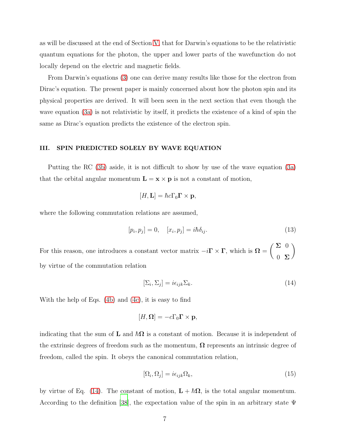as will be discussed at the end of Section [V,](#page-11-0) that for Darwin's equations to be the relativistic quantum equations for the photon, the upper and lower parts of the wavefunction do not locally depend on the electric and magnetic fields.

From Darwin's equations [\(3\)](#page-2-2) one can derive many results like those for the electron from Dirac's equation. The present paper is mainly concerned about how the photon spin and its physical properties are derived. It will been seen in the next section that even though the wave equation [\(3a\)](#page-2-0) is not relativistic by itself, it predicts the existence of a kind of spin the same as Dirac's equation predicts the existence of the electron spin.

#### III. SPIN PREDICTED SOLELY BY WAVE EQUATION

Putting the RC [\(3b\)](#page-2-1) aside, it is not difficult to show by use of the wave equation [\(3a\)](#page-2-0) that the orbital angular momentum  $\mathbf{L} = \mathbf{x} \times \mathbf{p}$  is not a constant of motion,

$$
[H, \mathbf{L}] = \hbar c \Gamma_0 \mathbf{\Gamma} \times \mathbf{p},
$$

where the following commutation relations are assumed,

<span id="page-6-1"></span>
$$
[p_i, p_j] = 0, \quad [x_i, p_j] = i\hbar \delta_{ij}.
$$
\n
$$
(13)
$$

For this reason, one introduces a constant vector matrix  $-i\Gamma \times \Gamma$ , which is  $\Omega = \begin{pmatrix} \Sigma & 0 \\ 0 & \Sigma \end{pmatrix}$  $0 \Sigma$  $\setminus$ by virtue of the commutation relation

<span id="page-6-0"></span>
$$
[\Sigma_i, \Sigma_j] = i\epsilon_{ijk}\Sigma_k. \tag{14}
$$

With the help of Eqs. [\(4b\)](#page-2-4) and [\(4c\)](#page-2-5), it is easy to find

$$
[H,\mathbf{\Omega}]=-c\Gamma_0\mathbf{\Gamma}\times\mathbf{p},
$$

indicating that the sum of **L** and  $\hbar\Omega$  is a constant of motion. Because it is independent of the extrinsic degrees of freedom such as the momentum,  $\Omega$  represents an intrinsic degree of freedom, called the spin. It obeys the canonical commutation relation,

<span id="page-6-2"></span>
$$
[\Omega_i, \Omega_j] = i\epsilon_{ijk}\Omega_k,\tag{15}
$$

by virtue of Eq. [\(14\)](#page-6-0). The constant of motion,  $\mathbf{L} + \hbar \mathbf{\Omega}$ , is the total angular momentum. According to the definition [\[38\]](#page-18-10), the expectation value of the spin in an arbitrary state  $\Psi$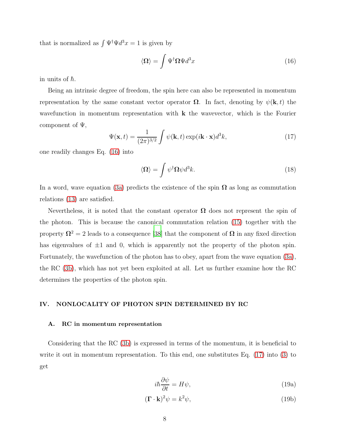that is normalized as  $\int \Psi^{\dagger} \Psi d^3 x = 1$  is given by

<span id="page-7-0"></span>
$$
\langle \Omega \rangle = \int \Psi^{\dagger} \Omega \Psi d^3 x \tag{16}
$$

in units of  $\hbar$ .

Being an intrinsic degree of freedom, the spin here can also be represented in momentum representation by the same constant vector operator  $\Omega$ . In fact, denoting by  $\psi(\mathbf{k},t)$  the wavefunction in momentum representation with  $k$  the wavevector, which is the Fourier component of  $\Psi$ ,

<span id="page-7-1"></span>
$$
\Psi(\mathbf{x},t) = \frac{1}{(2\pi)^{3/2}} \int \psi(\mathbf{k},t) \exp(i\mathbf{k}\cdot\mathbf{x})d^3k,
$$
\n(17)

one readily changes Eq. [\(16\)](#page-7-0) into

<span id="page-7-4"></span>
$$
\langle \Omega \rangle = \int \psi^{\dagger} \Omega \psi d^3 k. \tag{18}
$$

In a word, wave equation [\(3a\)](#page-2-0) predicts the existence of the spin  $\Omega$  as long as commutation relations [\(13\)](#page-6-1) are satisfied.

Nevertheless, it is noted that the constant operator  $\Omega$  does not represent the spin of the photon. This is because the canonical commutation relation [\(15\)](#page-6-2) together with the property  $\Omega^2 = 2$  leads to a consequence [\[38](#page-18-10)] that the component of  $\Omega$  in any fixed direction has eigenvalues of  $\pm 1$  and 0, which is apparently not the property of the photon spin. Fortunately, the wavefunction of the photon has to obey, apart from the wave equation [\(3a\)](#page-2-0), the RC [\(3b\)](#page-2-1), which has not yet been exploited at all. Let us further examine how the RC determines the properties of the photon spin.

#### IV. NONLOCALITY OF PHOTON SPIN DETERMINED BY RC

#### A. RC in momentum representation

Considering that the RC [\(3b\)](#page-2-1) is expressed in terms of the momentum, it is beneficial to write it out in momentum representation. To this end, one substitutes Eq. [\(17\)](#page-7-1) into [\(3\)](#page-2-2) to get

<span id="page-7-3"></span><span id="page-7-2"></span>
$$
i\hbar \frac{\partial \psi}{\partial t} = H\psi,\tag{19a}
$$

$$
(\mathbf{\Gamma} \cdot \mathbf{k})^2 \psi = k^2 \psi,
$$
 (19b)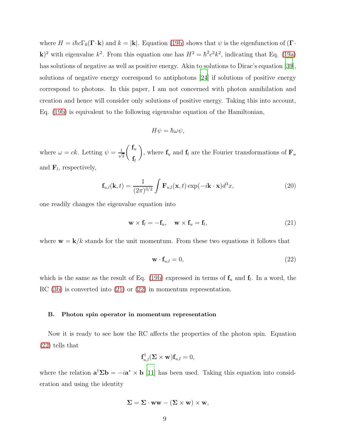where  $H = i\hbar c\Gamma_0(\mathbf{\Gamma}\cdot\mathbf{k})$  and  $k = |\mathbf{k}|$ . Equation [\(19b\)](#page-7-2) shows that  $\psi$  is the eigenfunction of  $(\mathbf{\Gamma}\cdot\mathbf{k})$ k)<sup>2</sup> with eigenvalue  $k^2$ . From this equation one has  $H^2 = \hbar^2 c^2 k^2$ , indicating that Eq. [\(19a\)](#page-7-3) has solutions of negative as well as positive energy. Akin to solutions to Dirac's equation [\[39\]](#page-18-11), solutions of negative energy correspond to antiphotons [\[24\]](#page-17-6) if solutions of positive energy correspond to photons. In this paper, I am not concerned with photon annihilation and creation and hence will consider only solutions of positive energy. Taking this into account, Eq. [\(19b\)](#page-7-2) is equivalent to the following eigenvalue equation of the Hamiltonian,

$$
H\psi = \hbar\omega\psi,
$$

where  $\omega = ck$ . Letting  $\psi = \frac{1}{\sqrt{2}}$  $\overline{2}$  $\int \mathbf{f}_u$  $\mathbf{f}_l$ ), where  $\mathbf{f}_u$  and  $\mathbf{f}_l$  are the Fourier transformations of  $\mathbf{F}_u$ and  $\mathbf{F}_l$ , respectively,

<span id="page-8-2"></span>
$$
\mathbf{f}_{u,l}(\mathbf{k},t) = \frac{1}{(2\pi)^{3/2}} \int \mathbf{F}_{u,l}(\mathbf{x},t) \exp(-i\mathbf{k}\cdot\mathbf{x})d^3x,
$$
 (20)

one readily changes the eigenvalue equation into

<span id="page-8-0"></span>
$$
\mathbf{w} \times \mathbf{f}_l = -\mathbf{f}_u, \quad \mathbf{w} \times \mathbf{f}_u = \mathbf{f}_l,
$$
\n(21)

where  $\mathbf{w} = \mathbf{k}/k$  stands for the unit momentum. From these two equations it follows that

<span id="page-8-1"></span>
$$
\mathbf{w} \cdot \mathbf{f}_{u,l} = 0,\tag{22}
$$

which is the same as the result of Eq. [\(19b\)](#page-7-2) expressed in terms of  $f_u$  and  $f_l$ . In a word, the RC [\(3b\)](#page-2-1) is converted into [\(21\)](#page-8-0) or [\(22\)](#page-8-1) in momentum representation.

#### B. Photon spin operator in momentum representation

Now it is ready to see how the RC affects the properties of the photon spin. Equation [\(22\)](#page-8-1) tells that

$$
\mathbf{f}_{u,l}^{\dagger}(\mathbf{\Sigma}\times\mathbf{w})\mathbf{f}_{u,l}=0,
$$

where the relation  $\mathbf{a}^{\dagger} \Sigma \mathbf{b} = -i \mathbf{a}^* \times \mathbf{b}$  [\[11\]](#page-17-16) has been used. Taking this equation into consideration and using the identity

$$
\Sigma = \Sigma \cdot \mathbf{w} \mathbf{w} - (\Sigma \times \mathbf{w}) \times \mathbf{w},
$$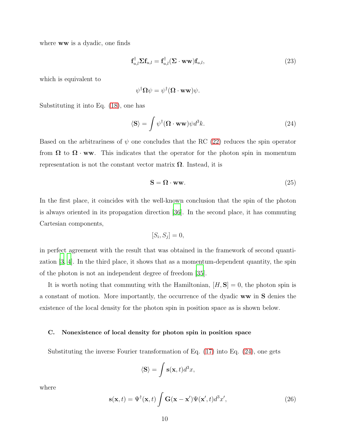where **ww** is a dyadic, one finds

<span id="page-9-1"></span>
$$
\mathbf{f}_{u,l}^{\dagger} \mathbf{\Sigma} \mathbf{f}_{u,l} = \mathbf{f}_{u,l}^{\dagger} (\mathbf{\Sigma} \cdot \mathbf{w} \mathbf{w}) \mathbf{f}_{u,l}, \tag{23}
$$

which is equivalent to

$$
\psi^{\dagger} \mathbf{\Omega} \psi = \psi^{\dagger} (\mathbf{\Omega} \cdot \mathbf{w} \mathbf{w}) \psi.
$$

Substituting it into Eq. [\(18\)](#page-7-4), one has

<span id="page-9-0"></span>
$$
\langle \mathbf{S} \rangle = \int \psi^{\dagger} (\mathbf{\Omega} \cdot \mathbf{w} \mathbf{w}) \psi d^3 k. \tag{24}
$$

Based on the arbitrariness of  $\psi$  one concludes that the RC [\(22\)](#page-8-1) reduces the spin operator from  $\Omega$  to  $\Omega$  · ww. This indicates that the operator for the photon spin in momentum representation is not the constant vector matrix  $\Omega$ . Instead, it is

$$
S = \Omega \cdot ww. \tag{25}
$$

In the first place, it coincides with the well-known conclusion that the spin of the photon is always oriented in its propagation direction [\[36\]](#page-18-6). In the second place, it has commuting Cartesian components,

$$
[S_i, S_j] = 0,
$$

in perfect agreement with the result that was obtained in the framework of second quantization [\[3](#page-17-10), [4\]](#page-17-11). In the third place, it shows that as a momentum-dependent quantity, the spin of the photon is not an independent degree of freedom [\[35\]](#page-18-5).

It is worth noting that commuting with the Hamiltonian,  $[H, S] = 0$ , the photon spin is a constant of motion. More importantly, the occurrence of the dyadic ww in S denies the existence of the local density for the photon spin in position space as is shown below.

#### C. Nonexistence of local density for photon spin in position space

Substituting the inverse Fourier transformation of Eq. [\(17\)](#page-7-1) into Eq. [\(24\)](#page-9-0), one gets

$$
\langle \mathbf{S} \rangle = \int \mathbf{s}(\mathbf{x}, t) d^3 x,
$$

where

$$
\mathbf{s}(\mathbf{x},t) = \Psi^{\dagger}(\mathbf{x},t) \int \mathbf{G}(\mathbf{x}-\mathbf{x}') \Psi(\mathbf{x}',t) d^3 x', \qquad (26)
$$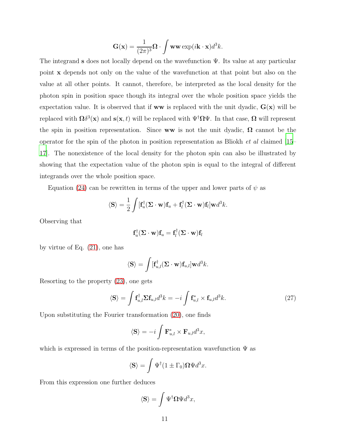$$
\mathbf{G}(\mathbf{x}) = \frac{1}{(2\pi)^3} \mathbf{\Omega} \cdot \int \mathbf{w} \mathbf{w} \exp(i\mathbf{k} \cdot \mathbf{x}) d^3 k.
$$

The integrand s does not locally depend on the wavefunction  $\Psi$ . Its value at any particular point x depends not only on the value of the wavefunction at that point but also on the value at all other points. It cannot, therefore, be interpreted as the local density for the photon spin in position space though its integral over the whole position space yields the expectation value. It is observed that if **ww** is replaced with the unit dyadic,  $G(x)$  will be replaced with  $\Omega \delta^3(\mathbf{x})$  and  $\mathbf{s}(\mathbf{x},t)$  will be replaced with  $\Psi^\dagger \Omega \Psi$ . In that case,  $\Omega$  will represent the spin in position representation. Since ww is not the unit dyadic,  $\Omega$  cannot be the operator for the spin of the photon in position representation as Bliokh et al claimed [\[15](#page-17-12)– [17\]](#page-17-13). The nonexistence of the local density for the photon spin can also be illustrated by showing that the expectation value of the photon spin is equal to the integral of different integrands over the whole position space.

Equation [\(24\)](#page-9-0) can be rewritten in terms of the upper and lower parts of  $\psi$  as

$$
\langle \mathbf{S} \rangle = \frac{1}{2} \int [\mathbf{f}_u^{\dagger} (\mathbf{\Sigma} \cdot \mathbf{w}) \mathbf{f}_u + \mathbf{f}_l^{\dagger} (\mathbf{\Sigma} \cdot \mathbf{w}) \mathbf{f}_l] \mathbf{w} d^3 k.
$$

Observing that

$$
\mathbf{f}_{u}^{\dagger}(\mathbf{\Sigma}\cdot\mathbf{w})\mathbf{f}_{u}=\mathbf{f}_{l}^{\dagger}(\mathbf{\Sigma}\cdot\mathbf{w})\mathbf{f}_{l}
$$

by virtue of Eq. [\(21\)](#page-8-0), one has

$$
\langle \mathbf{S} \rangle = \int [\mathbf{f}_{u,l}^{\dagger}(\mathbf{\Sigma} \cdot \mathbf{w}) \mathbf{f}_{u,l}] \mathbf{w} d^{3}k.
$$

Resorting to the property [\(23\)](#page-9-1), one gets

<span id="page-10-0"></span>
$$
\langle \mathbf{S} \rangle = \int \mathbf{f}_{u,l}^{\dagger} \mathbf{\Sigma} \mathbf{f}_{u,l} d^3 k = -i \int \mathbf{f}_{u,l}^* \times \mathbf{f}_{u,l} d^3 k. \tag{27}
$$

Upon substituting the Fourier transformation [\(20\)](#page-8-2), one finds

$$
\langle \mathbf{S} \rangle = -i \int \mathbf{F}_{u,l}^* \times \mathbf{F}_{u,l} d^3 x,
$$

which is expressed in terms of the position-representation wavefunction  $\Psi$  as

$$
\langle \mathbf{S} \rangle = \int \Psi^{\dagger} (1 \pm \Gamma_0) \mathbf{\Omega} \Psi d^3 x.
$$

From this expression one further deduces

$$
\langle \mathbf{S} \rangle = \int \Psi^{\dagger} \mathbf{\Omega} \Psi d^3 x,
$$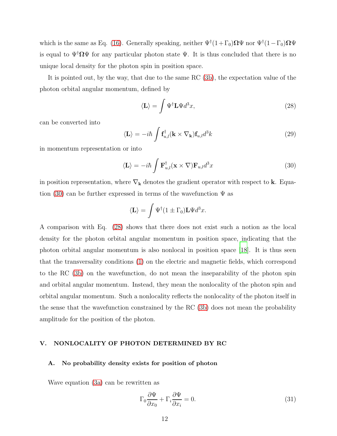which is the same as Eq. [\(16\)](#page-7-0). Generally speaking, neither  $\Psi^{\dagger}(1+\Gamma_0)\Omega\Psi$  nor  $\Psi^{\dagger}(1-\Gamma_0)\Omega\Psi$ is equal to  $\Psi^{\dagger} \Omega \Psi$  for any particular photon state  $\Psi$ . It is thus concluded that there is no unique local density for the photon spin in position space.

It is pointed out, by the way, that due to the same RC [\(3b\)](#page-2-1), the expectation value of the photon orbital angular momentum, defined by

<span id="page-11-2"></span>
$$
\langle \mathbf{L} \rangle = \int \Psi^{\dagger} \mathbf{L} \Psi d^3 x,\tag{28}
$$

can be converted into

<span id="page-11-4"></span>
$$
\langle \mathbf{L} \rangle = -i\hbar \int \mathbf{f}_{u,l}^{\dagger}(\mathbf{k} \times \nabla_{\mathbf{k}}) \mathbf{f}_{u,l} d^{3}k \tag{29}
$$

in momentum representation or into

<span id="page-11-1"></span>
$$
\langle \mathbf{L} \rangle = -i\hbar \int \mathbf{F}_{u,l}^{\dagger} (\mathbf{x} \times \nabla) \mathbf{F}_{u,l} d^3 x \tag{30}
$$

in position representation, where  $\nabla_{\mathbf{k}}$  denotes the gradient operator with respect to **k**. Equa-tion [\(30\)](#page-11-1) can be further expressed in terms of the wavefunction  $\Psi$  as

$$
\langle \mathbf{L} \rangle = \int \Psi^{\dagger} (1 \pm \Gamma_0) \mathbf{L} \Psi d^3 x.
$$

A comparison with Eq. [\(28\)](#page-11-2) shows that there does not exist such a notion as the local density for the photon orbital angular momentum in position space, indicating that the photon orbital angular momentum is also nonlocal in position space [\[18](#page-17-15)]. It is thus seen that the transversality conditions [\(1\)](#page-1-0) on the electric and magnetic fields, which correspond to the RC [\(3b\)](#page-2-1) on the wavefunction, do not mean the inseparability of the photon spin and orbital angular momentum. Instead, they mean the nonlocality of the photon spin and orbital angular momentum. Such a nonlocality reflects the nonlocality of the photon itself in the sense that the wavefunction constrained by the RC [\(3b\)](#page-2-1) does not mean the probability amplitude for the position of the photon.

### <span id="page-11-0"></span>V. NONLOCALITY OF PHOTON DETERMINED BY RC

#### A. No probability density exists for position of photon

Wave equation [\(3a\)](#page-2-0) can be rewritten as

<span id="page-11-3"></span>
$$
\Gamma_0 \frac{\partial \Psi}{\partial x_0} + \Gamma_i \frac{\partial \Psi}{\partial x_i} = 0.
$$
\n(31)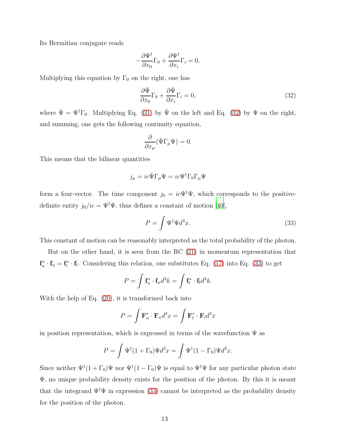Its Hermitian conjugate reads

$$
-\frac{\partial \Psi^{\dagger}}{\partial x_0} \Gamma_0 + \frac{\partial \Psi^{\dagger}}{\partial x_i} \Gamma_i = 0.
$$

Multiplying this equation by  $\Gamma_0$  on the right, one has

<span id="page-12-0"></span>
$$
\frac{\partial \bar{\Psi}}{\partial x_0} \Gamma_0 + \frac{\partial \bar{\Psi}}{\partial x_i} \Gamma_i = 0, \tag{32}
$$

where  $\bar{\Psi} = \Psi^{\dagger} \Gamma_0$ . Multiplying Eq. [\(31\)](#page-11-3) by  $\bar{\Psi}$  on the left and Eq. [\(32\)](#page-12-0) by  $\Psi$  on the right, and summing, one gets the following continuity equation,

$$
\frac{\partial}{\partial x_{\mu}}(\bar{\Psi}\Gamma_{\mu}\Psi) = 0.
$$

This means that the bilinear quantities

$$
j_{\mu}=ic\bar{\Psi}\Gamma_{\mu}\Psi=ic\Psi^{\dagger}\Gamma_{0}\Gamma_{\mu}\Psi
$$

form a four-vector. The time component  $j_0 = ic\Psi^{\dagger}\Psi$ , which corresponds to the positivedefinite entity  $j_0/ic = \Psi^{\dagger}\Psi$ , thus defines a constant of motion [\[40](#page-18-12)],

<span id="page-12-1"></span>
$$
P = \int \Psi^{\dagger} \Psi d^3 x. \tag{33}
$$

This constant of motion can be reasonably interpreted as the total probability of the photon.

But on the other hand, it is seen from the RC [\(21\)](#page-8-0) in momentum representation that  $\mathbf{f}_u^* \cdot \mathbf{f}_u = \mathbf{f}_l^* \cdot \mathbf{f}_l$ . Considering this relation, one substitutes Eq. [\(17\)](#page-7-1) into Eq. [\(33\)](#page-12-1) to get

$$
P = \int \mathbf{f}_u^* \cdot \mathbf{f}_u d^3 k = \int \mathbf{f}_l^* \cdot \mathbf{f}_l d^3 k.
$$

With the help of Eq. [\(20\)](#page-8-2), it is transformed back into

$$
P = \int \mathbf{F}_u^* \cdot \mathbf{F}_u d^3 x = \int \mathbf{F}_l^* \cdot \mathbf{F}_l d^3 x
$$

in position representation, which is expressed in terms of the wavefunction  $\Psi$  as

$$
P = \int \Psi^{\dagger} (1 + \Gamma_0) \Psi d^3 x = \int \Psi^{\dagger} (1 - \Gamma_0) \Psi d^3 x.
$$

Since neither  $\Psi^{\dagger}(1+\Gamma_0)\Psi$  nor  $\Psi^{\dagger}(1-\Gamma_0)\Psi$  is equal to  $\Psi^{\dagger}\Psi$  for any particular photon state Ψ, no unique probability density exists for the position of the photon. By this it is meant that the integrand  $\Psi^{\dagger}\Psi$  in expression [\(33\)](#page-12-1) cannot be interpreted as the probability density for the position of the photon.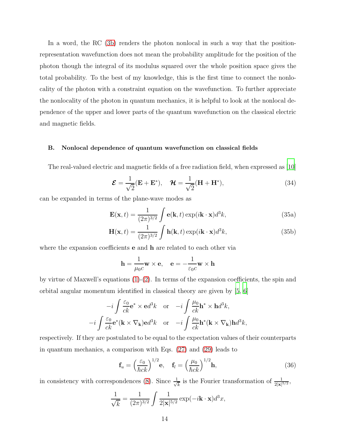In a word, the RC [\(3b\)](#page-2-1) renders the photon nonlocal in such a way that the positionrepresentation wavefunction does not mean the probability amplitude for the position of the photon though the integral of its modulus squared over the whole position space gives the total probability. To the best of my knowledge, this is the first time to connect the nonlocality of the photon with a constraint equation on the wavefunction. To further appreciate the nonlocality of the photon in quantum mechanics, it is helpful to look at the nonlocal dependence of the upper and lower parts of the quantum wavefunction on the classical electric and magnetic fields.

#### B. Nonlocal dependence of quantum wavefunction on classical fields

The real-valued electric and magnetic fields of a free radiation field, when expressed as [\[10\]](#page-17-2)

<span id="page-13-2"></span><span id="page-13-1"></span>
$$
\mathcal{E} = \frac{1}{\sqrt{2}} (\mathbf{E} + \mathbf{E}^*), \quad \mathcal{H} = \frac{1}{\sqrt{2}} (\mathbf{H} + \mathbf{H}^*), \tag{34}
$$

can be expanded in terms of the plane-wave modes as

$$
\mathbf{E}(\mathbf{x},t) = \frac{1}{(2\pi)^{3/2}} \int \mathbf{e}(\mathbf{k},t) \exp(i\mathbf{k}\cdot\mathbf{x})d^3k,
$$
 (35a)

$$
\mathbf{H}(\mathbf{x},t) = \frac{1}{(2\pi)^{3/2}} \int \mathbf{h}(\mathbf{k},t) \exp(i\mathbf{k}\cdot\mathbf{x})d^3k,
$$
 (35b)

where the expansion coefficients **e** and **h** are related to each other via

<span id="page-13-3"></span>
$$
\mathbf{h} = \frac{1}{\mu_0 c} \mathbf{w} \times \mathbf{e}, \quad \mathbf{e} = -\frac{1}{\varepsilon_0 c} \mathbf{w} \times \mathbf{h}
$$

by virtue of Maxwell's equations  $(1)-(2)$  $(1)-(2)$ . In terms of the expansion coefficients, the spin and orbital angular momentum identified in classical theory are given by [\[5](#page-17-17), [6](#page-17-18)]

$$
-i\int \frac{\varepsilon_0}{ck} \mathbf{e}^* \times \mathbf{e} d^3k \quad \text{or} \quad -i\int \frac{\mu_0}{ck} \mathbf{h}^* \times \mathbf{h} d^3k,
$$

$$
-i\int \frac{\varepsilon_0}{ck} \mathbf{e}^* (\mathbf{k} \times \nabla_{\mathbf{k}}) \mathbf{e} d^3k \quad \text{or} \quad -i\int \frac{\mu_0}{ck} \mathbf{h}^* (\mathbf{k} \times \nabla_{\mathbf{k}}) \mathbf{h} d^3k,
$$

respectively. If they are postulated to be equal to the expectation values of their counterparts in quantum mechanics, a comparison with Eqs. [\(27\)](#page-10-0) and [\(29\)](#page-11-4) leads to

<span id="page-13-0"></span>
$$
\mathbf{f}_u = \left(\frac{\varepsilon_0}{\hbar ck}\right)^{1/2} \mathbf{e}, \quad \mathbf{f}_l = \left(\frac{\mu_0}{\hbar ck}\right)^{1/2} \mathbf{h},\tag{36}
$$

in consistency with correspondences [\(8\)](#page-4-5). Since  $\frac{1}{\sqrt{2}}$  $\frac{1}{k}$  is the Fourier transformation of  $\frac{1}{2|\mathbf{x}|^{5/2}}$ ,

$$
\frac{1}{\sqrt{k}} = \frac{1}{(2\pi)^{3/2}} \int \frac{1}{2|\mathbf{x}|^{5/2}} \exp(-i\mathbf{k} \cdot \mathbf{x}) d^3x,
$$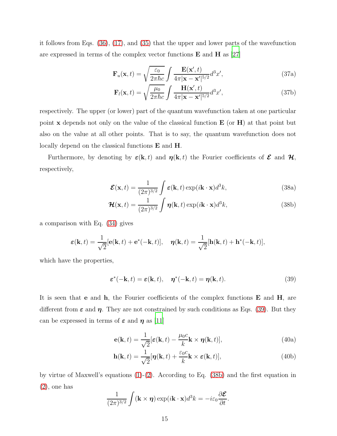it follows from Eqs. [\(36\)](#page-13-0), [\(17\)](#page-7-1), and [\(35\)](#page-13-1) that the upper and lower parts of the wavefunction are expressed in terms of the complex vector functions  $E$  and  $H$  as [\[27](#page-17-8)]

<span id="page-14-4"></span>
$$
\mathbf{F}_u(\mathbf{x},t) = \sqrt{\frac{\varepsilon_0}{2\pi\hbar c}} \int \frac{\mathbf{E}(\mathbf{x}',t)}{4\pi|\mathbf{x}-\mathbf{x}'|^{5/2}} d^3 x', \qquad (37a)
$$

$$
\mathbf{F}_{l}(\mathbf{x},t) = \sqrt{\frac{\mu_{0}}{2\pi\hbar c}} \int \frac{\mathbf{H}(\mathbf{x}',t)}{4\pi|\mathbf{x} - \mathbf{x}'|^{5/2}} d^{3}x', \qquad (37b)
$$

respectively. The upper (or lower) part of the quantum wavefunction taken at one particular point  $x$  depends not only on the value of the classical function  $E$  (or  $H$ ) at that point but also on the value at all other points. That is to say, the quantum wavefunction does not locally depend on the classical functions E and H.

Furthermore, by denoting by  $\varepsilon(\mathbf{k}, t)$  and  $\eta(\mathbf{k}, t)$  the Fourier coefficients of  $\mathcal{E}$  and  $\mathcal{H}$ , respectively,

<span id="page-14-3"></span><span id="page-14-1"></span>
$$
\mathcal{E}(\mathbf{x},t) = \frac{1}{(2\pi)^{3/2}} \int \varepsilon(\mathbf{k},t) \exp(i\mathbf{k}\cdot\mathbf{x})d^3k,
$$
 (38a)

$$
\mathcal{H}(\mathbf{x},t) = \frac{1}{(2\pi)^{3/2}} \int \boldsymbol{\eta}(\mathbf{k},t) \exp(i\mathbf{k}\cdot\mathbf{x}) d^3k,
$$
 (38b)

a comparison with Eq. [\(34\)](#page-13-2) gives

$$
\boldsymbol{\varepsilon}(\mathbf{k},t) = \frac{1}{\sqrt{2}}[\mathbf{e}(\mathbf{k},t) + \mathbf{e}^*(-\mathbf{k},t)], \quad \boldsymbol{\eta}(\mathbf{k},t) = \frac{1}{\sqrt{2}}[\mathbf{h}(\mathbf{k},t) + \mathbf{h}^*(-\mathbf{k},t)],
$$

which have the properties,

<span id="page-14-0"></span>
$$
\varepsilon^*(-\mathbf{k},t) = \varepsilon(\mathbf{k},t), \quad \eta^*(-\mathbf{k},t) = \eta(\mathbf{k},t). \tag{39}
$$

It is seen that **e** and **h**, the Fourier coefficients of the complex functions  $\bf{E}$  and  $\bf{H}$ , are different from  $\varepsilon$  and  $\eta$ . They are not constrained by such conditions as Eqs. [\(39\)](#page-14-0). But they can be expressed in terms of  $\varepsilon$  and  $\eta$  as [\[11](#page-17-16)]

<span id="page-14-2"></span>
$$
\mathbf{e}(\mathbf{k},t) = \frac{1}{\sqrt{2}}[\varepsilon(\mathbf{k},t) - \frac{\mu_0 c}{k}\mathbf{k} \times \boldsymbol{\eta}(\mathbf{k},t)],
$$
\n(40a)

$$
\mathbf{h}(\mathbf{k},t) = \frac{1}{\sqrt{2}}[\boldsymbol{\eta}(\mathbf{k},t) + \frac{\varepsilon_0 c}{k}\mathbf{k} \times \boldsymbol{\varepsilon}(\mathbf{k},t)],
$$
\n(40b)

by virtue of Maxwell's equations [\(1\)](#page-1-0)-[\(2\)](#page-1-1). According to Eq. [\(38b\)](#page-14-1) and the first equation in [\(2\)](#page-1-1), one has

$$
\frac{1}{(2\pi)^{3/2}}\int (\mathbf{k}\times\boldsymbol{\eta})\exp(i\mathbf{k}\cdot\mathbf{x})d^3k = -i\varepsilon_0\frac{\partial\boldsymbol{\mathcal{E}}}{\partial t}.
$$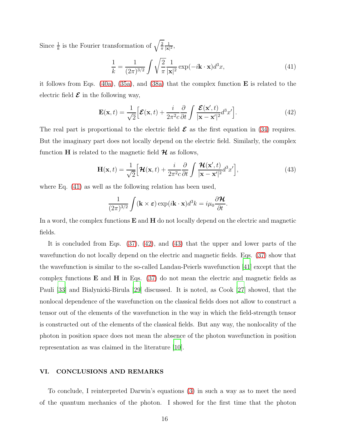Since  $\frac{1}{k}$  is the Fourier transformation of  $\sqrt{\frac{2}{\pi}}$ π 1  $\frac{1}{|\mathbf{x}|^2}$ 

<span id="page-15-0"></span>
$$
\frac{1}{k} = \frac{1}{(2\pi)^{3/2}} \int \sqrt{\frac{2}{\pi}} \frac{1}{|\mathbf{x}|^2} \exp(-i\mathbf{k} \cdot \mathbf{x}) d^3 x,\tag{41}
$$

it follows from Eqs. [\(40a\)](#page-14-2), [\(35a\)](#page-13-3), and [\(38a\)](#page-14-3) that the complex function E is related to the electric field  $\mathcal E$  in the following way,

<span id="page-15-1"></span>
$$
\mathbf{E}(\mathbf{x},t) = \frac{1}{\sqrt{2}} \Big[ \mathcal{E}(\mathbf{x},t) + \frac{i}{2\pi^2 c} \frac{\partial}{\partial t} \int \frac{\mathcal{E}(\mathbf{x}',t)}{|\mathbf{x} - \mathbf{x}'|^2} d^3 x' \Big].
$$
 (42)

The real part is proportional to the electric field  $\mathcal E$  as the first equation in [\(34\)](#page-13-2) requires. But the imaginary part does not locally depend on the electric field. Similarly, the complex function H is related to the magnetic field  $\mathcal{H}$  as follows,

<span id="page-15-2"></span>
$$
\mathbf{H}(\mathbf{x},t) = \frac{1}{\sqrt{2}} \Big[ \mathbf{\mathcal{H}}(\mathbf{x},t) + \frac{i}{2\pi^2 c} \frac{\partial}{\partial t} \int \frac{\mathbf{\mathcal{H}}(\mathbf{x}',t)}{|\mathbf{x} - \mathbf{x}'|^2} d^3 x' \Big],\tag{43}
$$

where Eq. [\(41\)](#page-15-0) as well as the following relation has been used,

$$
\frac{1}{(2\pi)^{3/2}}\int (\mathbf{k}\times\boldsymbol{\varepsilon})\exp(i\mathbf{k}\cdot\mathbf{x})d^3k = i\mu_0\frac{\partial\boldsymbol{\mathcal{H}}}{\partial t}.
$$

In a word, the complex functions  $E$  and  $H$  do not locally depend on the electric and magnetic fields.

It is concluded from Eqs. [\(37\)](#page-14-4), [\(42\)](#page-15-1), and [\(43\)](#page-15-2) that the upper and lower parts of the wavefunction do not locally depend on the electric and magnetic fields. Eqs. [\(37\)](#page-14-4) show that the wavefunction is similar to the so-called Landau-Peierls wavefunction [\[41\]](#page-18-13) except that the complex functions  $\bf{E}$  and  $\bf{H}$  in Eqs. [\(37\)](#page-14-4) do not mean the electric and magnetic fields as Pauli [\[33\]](#page-18-3) and Bialynicki-Birula [\[29](#page-18-0)] discussed. It is noted, as Cook [\[27\]](#page-17-8) showed, that the nonlocal dependence of the wavefunction on the classical fields does not allow to construct a tensor out of the elements of the wavefunction in the way in which the field-strength tensor is constructed out of the elements of the classical fields. But any way, the nonlocality of the photon in position space does not mean the absence of the photon wavefunction in position representation as was claimed in the literature [\[10](#page-17-2)].

#### VI. CONCLUSIONS AND REMARKS

To conclude, I reinterpreted Darwin's equations [\(3\)](#page-2-2) in such a way as to meet the need of the quantum mechanics of the photon. I showed for the first time that the photon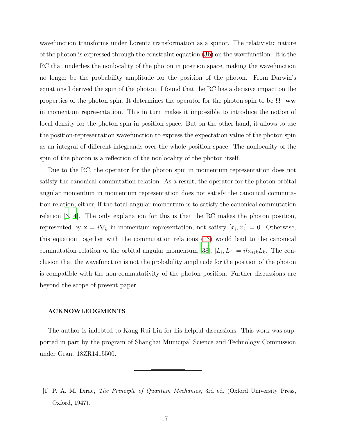wavefunction transforms under Lorentz transformation as a spinor. The relativistic nature of the photon is expressed through the constraint equation [\(3b\)](#page-2-1) on the wavefunction. It is the RC that underlies the nonlocality of the photon in position space, making the wavefunction no longer be the probability amplitude for the position of the photon. From Darwin's equations I derived the spin of the photon. I found that the RC has a decisive impact on the properties of the photon spin. It determines the operator for the photon spin to be  $\Omega \cdot ww$ in momentum representation. This in turn makes it impossible to introduce the notion of local density for the photon spin in position space. But on the other hand, it allows to use the position-representation wavefunction to express the expectation value of the photon spin as an integral of different integrands over the whole position space. The nonlocality of the spin of the photon is a reflection of the nonlocality of the photon itself.

Due to the RC, the operator for the photon spin in momentum representation does not satisfy the canonical commutation relation. As a result, the operator for the photon orbital angular momentum in momentum representation does not satisfy the canonical commutation relation, either, if the total angular momentum is to satisfy the canonical commutation relation [\[3](#page-17-10), [4](#page-17-11)]. The only explanation for this is that the RC makes the photon position, represented by  $\mathbf{x} = i \nabla_k$  in momentum representation, not satisfy  $[x_i, x_j] = 0$ . Otherwise, this equation together with the commutation relations [\(13\)](#page-6-1) would lead to the canonical commutation relation of the orbital angular momentum [\[38\]](#page-18-10),  $[L_i, L_j] = i\hbar \epsilon_{ijk} L_k$ . The conclusion that the wavefunction is not the probability amplitude for the position of the photon is compatible with the non-commutativity of the photon position. Further discussions are beyond the scope of present paper.

#### ACKNOWLEDGMENTS

The author is indebted to Kang-Rui Liu for his helpful discussions. This work was supported in part by the program of Shanghai Municipal Science and Technology Commission under Grant 18ZR1415500.

<span id="page-16-0"></span><sup>[1]</sup> P. A. M. Dirac, The Principle of Quantum Mechanics, 3rd ed. (Oxford University Press, Oxford, 1947).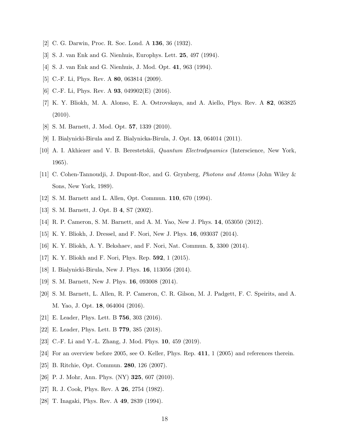- <span id="page-17-10"></span><span id="page-17-0"></span>[2] C. G. Darwin, Proc. R. Soc. Lond. A 136, 36 (1932).
- <span id="page-17-11"></span>[3] S. J. van Enk and G. Nienhuis, Europhys. Lett. 25, 497 (1994).
- [4] S. J. van Enk and G. Nienhuis, J. Mod. Opt. 41, 963 (1994).
- <span id="page-17-18"></span><span id="page-17-17"></span>[5] C.-F. Li, Phys. Rev. A 80, 063814 (2009).
- [6] C.-F. Li, Phys. Rev. A  $93$ , 049902(E) (2016).
- [7] K. Y. Bliokh, M. A. Alonso, E. A. Ostrovskaya, and A. Aiello, Phys. Rev. A 82, 063825 (2010).
- <span id="page-17-14"></span><span id="page-17-1"></span>[8] S. M. Barnett, J. Mod. Opt. 57, 1339 (2010).
- [9] I. Bialynicki-Birula and Z. Bialynicka-Birula, J. Opt. 13, 064014 (2011).
- <span id="page-17-2"></span>[10] A. I. Akhiezer and V. B. Berestetskii, Quantum Electrodynamics (Interscience, New York, 1965).
- <span id="page-17-16"></span>[11] C. Cohen-Tannoudji, J. Dupont-Roc, and G. Grynberg, Photons and Atoms (John Wiley & Sons, New York, 1989).
- <span id="page-17-3"></span>[12] S. M. Barnett and L. Allen, Opt. Commun. 110, 670 (1994).
- <span id="page-17-4"></span>[13] S. M. Barnett, J. Opt. B 4, S7 (2002).
- <span id="page-17-12"></span>[14] R. P. Cameron, S. M. Barnett, and A. M. Yao, New J. Phys. 14, 053050 (2012).
- [15] K. Y. Bliokh, J. Dressel, and F. Nori, New J. Phys. 16, 093037 (2014).
- [16] K. Y. Bliokh, A. Y. Bekshaev, and F. Nori, Nat. Commun. 5, 3300 (2014).
- <span id="page-17-13"></span>[17] K. Y. Bliokh and F. Nori, Phys. Rep. 592, 1 (2015).
- <span id="page-17-15"></span>[18] I. Bialynicki-Birula, New J. Phys. 16, 113056 (2014).
- <span id="page-17-9"></span>[19] S. M. Barnett, New J. Phys. 16, 093008 (2014).
- [20] S. M. Barnett, L. Allen, R. P. Cameron, C. R. Gilson, M. J. Padgett, F. C. Speirits, and A. M. Yao, J. Opt. 18, 064004 (2016).
- [21] E. Leader, Phys. Lett. B 756, 303 (2016).
- [22] E. Leader, Phys. Lett. B 779, 385 (2018).
- <span id="page-17-5"></span>[23] C.-F. Li and Y.-L. Zhang, J. Mod. Phys. 10, 459 (2019).
- <span id="page-17-6"></span>[24] For an overview before 2005, see O. Keller, Phys. Rep. 411, 1 (2005) and references therein.
- [25] B. Ritchie, Opt. Commun. 280, 126 (2007).
- <span id="page-17-7"></span>[26] P. J. Mohr, Ann. Phys. (NY) **325**, 607 (2010).
- <span id="page-17-8"></span>[27] R. J. Cook, Phys. Rev. A **26**, 2754 (1982).
- [28] T. Inagaki, Phys. Rev. A 49, 2839 (1994).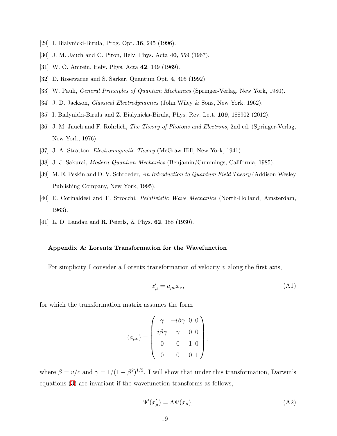- <span id="page-18-1"></span><span id="page-18-0"></span>[29] I. Bialynicki-Birula, Prog. Opt. 36, 245 (1996).
- [30] J. M. Jauch and C. Piron, Helv. Phys. Acta 40, 559 (1967).
- <span id="page-18-2"></span>[31] W. O. Amrein, Helv. Phys. Acta 42, 149 (1969).
- <span id="page-18-3"></span>[32] D. Rosewarne and S. Sarkar, Quantum Opt. 4, 405 (1992).
- <span id="page-18-4"></span>[33] W. Pauli, General Principles of Quantum Mechanics (Springer-Verlag, New York, 1980).
- <span id="page-18-5"></span>[34] J. D. Jackson, Classical Electrodynamics (John Wiley & Sons, New York, 1962).
- <span id="page-18-6"></span>[35] I. Bialynicki-Birula and Z. Bialynicka-Birula, Phys. Rev. Lett. 109, 188902 (2012).
- [36] J. M. Jauch and F. Rohrlich, The Theory of Photons and Electrons, 2nd ed. (Springer-Verlag, New York, 1976).
- <span id="page-18-10"></span><span id="page-18-7"></span>[37] J. A. Stratton, Electromagnetic Theory (McGraw-Hill, New York, 1941).
- <span id="page-18-11"></span>[38] J. J. Sakurai, Modern Quantum Mechanics (Benjamin/Cummings, California, 1985).
- [39] M. E. Peskin and D. V. Schroeder, An Introduction to Quantum Field Theory (Addison-Wesley Publishing Company, New York, 1995).
- <span id="page-18-12"></span>[40] E. Corinaldesi and F. Strocchi, Relativistic Wave Mechanics (North-Holland, Amsterdam, 1963).
- <span id="page-18-13"></span>[41] L. D. Landau and R. Peierls, Z. Phys. 62, 188 (1930).

#### <span id="page-18-8"></span>Appendix A: Lorentz Transformation for the Wavefunction

For simplicity I consider a Lorentz transformation of velocity  $v$  along the first axis,

<span id="page-18-14"></span>
$$
x'_{\mu} = a_{\mu\nu} x_{\nu},\tag{A1}
$$

for which the transformation matrix assumes the form

$$
(a_{\mu\nu}) = \begin{pmatrix} \gamma & -i\beta\gamma & 0 & 0 \\ i\beta\gamma & \gamma & 0 & 0 \\ 0 & 0 & 1 & 0 \\ 0 & 0 & 0 & 1 \end{pmatrix}
$$

where  $\beta = v/c$  and  $\gamma = 1/(1 - \beta^2)^{1/2}$ . I will show that under this transformation, Darwin's equations [\(3\)](#page-2-2) are invariant if the wavefunction transforms as follows,

<span id="page-18-9"></span>
$$
\Psi'(x'_{\mu}) = \Lambda \Psi(x_{\mu}),\tag{A2}
$$

,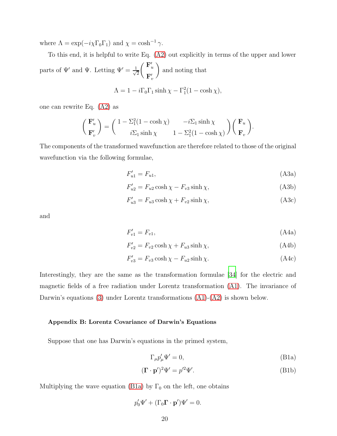where  $\Lambda = \exp(-i\chi \Gamma_0 \Gamma_1)$  and  $\chi = \cosh^{-1} \gamma$ .

To this end, it is helpful to write Eq. [\(A2\)](#page-18-9) out explicitly in terms of the upper and lower parts of  $\Psi'$  and  $\Psi$ . Letting  $\Psi' = \frac{1}{\sqrt{2}}$ 2  $\int \mathbf{F}_u'$  $\mathbf{F}'_v$  $\setminus$ and noting that

$$
\Lambda = 1 - i\Gamma_0 \Gamma_1 \sinh \chi - \Gamma_1^2 (1 - \cosh \chi),
$$

one can rewrite Eq. [\(A2\)](#page-18-9) as

$$
\begin{pmatrix} \mathbf{F}'_u \\ \mathbf{F}'_v \end{pmatrix} = \begin{pmatrix} 1 - \Sigma_1^2 (1 - \cosh \chi) & -i \Sigma_1 \sinh \chi \\ i \Sigma_1 \sinh \chi & 1 - \Sigma_1^2 (1 - \cosh \chi) \end{pmatrix} \begin{pmatrix} \mathbf{F}_u \\ \mathbf{F}_v \end{pmatrix}.
$$

The components of the transformed wavefunction are therefore related to those of the original wavefunction via the following formulae,

<span id="page-19-1"></span>
$$
F'_{u1} = F_{u1},\tag{A3a}
$$

$$
F'_{u2} = F_{u2} \cosh \chi - F_{v3} \sinh \chi,\tag{A3b}
$$

$$
F'_{u3} = F_{u3} \cosh \chi + F_{v2} \sinh \chi,\tag{A3c}
$$

<span id="page-19-2"></span>and

$$
F'_{v1} = F_{v1}, \t\t(A4a)
$$

$$
F'_{v2} = F_{v2} \cosh \chi + F_{u3} \sinh \chi,\tag{A4b}
$$

$$
F'_{v3} = F_{v3} \cosh \chi - F_{u2} \sinh \chi. \tag{A4c}
$$

Interestingly, they are the same as the transformation formulae [\[34](#page-18-4)] for the electric and magnetic fields of a free radiation under Lorentz transformation [\(A1\)](#page-18-14). The invariance of Darwin's equations [\(3\)](#page-2-2) under Lorentz transformations  $(A1)-(A2)$  $(A1)-(A2)$  is shown below.

#### <span id="page-19-0"></span>Appendix B: Lorentz Covariance of Darwin's Equations

Suppose that one has Darwin's equations in the primed system,

<span id="page-19-4"></span><span id="page-19-3"></span>
$$
\Gamma_{\mu}p'_{\mu}\Psi' = 0,\tag{B1a}
$$

$$
(\mathbf{\Gamma} \cdot \mathbf{p}')^2 \Psi' = p'^2 \Psi'.\tag{B1b}
$$

Multiplying the wave equation [\(B1a\)](#page-19-3) by  $\Gamma_0$  on the left, one obtains

$$
p'_0 \Psi' + (\Gamma_0 \mathbf{\Gamma} \cdot \mathbf{p}') \Psi' = 0.
$$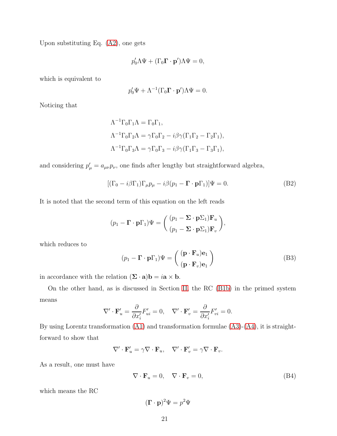Upon substituting Eq. [\(A2\)](#page-18-9), one gets

$$
p'_0 \Lambda \Psi + (\Gamma_0 \mathbf{\Gamma} \cdot \mathbf{p}') \Lambda \Psi = 0,
$$

which is equivalent to

$$
p'_0 \Psi + \Lambda^{-1} (\Gamma_0 \mathbf{\Gamma} \cdot \mathbf{p}') \Lambda \Psi = 0.
$$

Noticing that

$$
\Lambda^{-1}\Gamma_0\Gamma_1\Lambda = \Gamma_0\Gamma_1,
$$
  
\n
$$
\Lambda^{-1}\Gamma_0\Gamma_2\Lambda = \gamma\Gamma_0\Gamma_2 - i\beta\gamma(\Gamma_1\Gamma_2 - \Gamma_2\Gamma_1),
$$
  
\n
$$
\Lambda^{-1}\Gamma_0\Gamma_3\Lambda = \gamma\Gamma_0\Gamma_3 - i\beta\gamma(\Gamma_1\Gamma_3 - \Gamma_3\Gamma_1),
$$

and considering  $p'_{\mu} = a_{\mu\nu} p_{\nu}$ , one finds after lengthy but straightforward algebra,

<span id="page-20-2"></span>
$$
[(\Gamma_0 - i\beta \Gamma_1)\Gamma_\mu p_\mu - i\beta (p_1 - \mathbf{\Gamma} \cdot \mathbf{p}\Gamma_1)]\Psi = 0.
$$
 (B2)

It is noted that the second term of this equation on the left reads

$$
(p_1 - \mathbf{\Gamma} \cdot \mathbf{p} \Gamma_1) \Psi = \begin{pmatrix} (p_1 - \mathbf{\Sigma} \cdot \mathbf{p} \Sigma_1) \mathbf{F}_u \\ (p_1 - \mathbf{\Sigma} \cdot \mathbf{p} \Sigma_1) \mathbf{F}_v \end{pmatrix},
$$

which reduces to

<span id="page-20-1"></span>
$$
(p_1 - \mathbf{\Gamma} \cdot \mathbf{p} \Gamma_1) \Psi = \begin{pmatrix} (\mathbf{p} \cdot \mathbf{F}_u) \mathbf{e}_1 \\ (\mathbf{p} \cdot \mathbf{F}_v) \mathbf{e}_1 \end{pmatrix}
$$
(B3)

in accordance with the relation  $(\Sigma \cdot \mathbf{a})\mathbf{b} = i\mathbf{a} \times \mathbf{b}$ .

On the other hand, as is discussed in Section [II,](#page-3-2) the RC [\(B1b\)](#page-19-4) in the primed system means

$$
\nabla' \cdot \mathbf{F}'_u = \frac{\partial}{\partial x'_i} F'_{ui} = 0, \quad \nabla' \cdot \mathbf{F}'_v = \frac{\partial}{\partial x'_i} F'_{vi} = 0.
$$

By using Lorentz transformation [\(A1\)](#page-18-14) and transformation formulae [\(A3\)](#page-19-1)-[\(A4\)](#page-19-2), it is straightforward to show that

$$
\nabla' \cdot \mathbf{F}'_u = \gamma \nabla \cdot \mathbf{F}_u, \quad \nabla' \cdot \mathbf{F}'_v = \gamma \nabla \cdot \mathbf{F}_v.
$$

As a result, one must have

<span id="page-20-0"></span>
$$
\nabla \cdot \mathbf{F}_u = 0, \quad \nabla \cdot \mathbf{F}_v = 0,
$$
\n(B4)

which means the RC

$$
(\mathbf{\Gamma}\cdot\mathbf{p})^2\Psi=p^2\Psi
$$